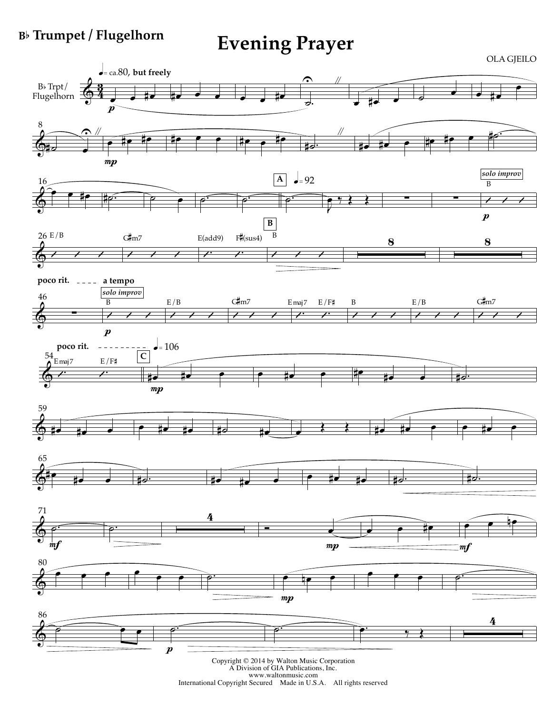## **B**b **Trumpet / Flugelhorn**

**Evening Prayer**

OLA GJEILO  $\epsilon$ = ca.80, but freely  $\Omega$   $\sim$  $\overline{e}$  #e  $\overline{e}$   $\overline{e}$   $\overline{e}$   $\overline{e}$   $\overline{e}$   $\overline{e}$   $\overline{e}$   $\overline{e}$   $\overline{e}$   $\overline{e}$   $\overline{e}$   $\overline{e}$   $\overline{e}$   $\overline{e}$   $\overline{e}$   $\overline{e}$   $\overline{e}$   $\overline{e}$   $\overline{e}$   $\overline{e}$   $\overline{e}$   $\overline{e}$   $\overline{e}$   $\$  $B\flat$  Trpt/  $\oint 4$ #œ <sup>œ</sup> <sup>œ</sup> <sup>œ</sup> <sup>œ</sup> #œ ˙. Flugelhorn  $\frac{104}{p}$ 8  $\frac{\gamma}{\gamma}$  e #e #e #e #e #e #e #e #e #e e e #e #e #e. "  $\pmb{\Phi}$ #˙ œ  $mp$ *solo improv*  $\frac{1}{2}$  – 92 **A** 16  $\overrightarrow{p}$   $\overrightarrow{e}$   $\overrightarrow{p}$   $\overrightarrow{p}$   $\overrightarrow{p}$   $\overrightarrow{p}$   $\overrightarrow{p}$   $\overrightarrow{p}$   $\overrightarrow{p}$   $\overrightarrow{p}$   $\overrightarrow{p}$ B  $\overline{\rho}$ : œ ‰ Œ Œ ∑ ∑ Û Û Û  $\pmb{\Phi}$ J  $\boldsymbol{p}$ **B** F# (sus4) B 26 E/B G#m7 E(add9) 8 8  $\overline{\phantom{a}}$  $\prime$  /  $\prime$  $\prime$  /  $\prime$  $\prime$  /  $\prime$ & **poco rit. a tempo**  $\frac{1}{2}$ *solo improv* 46 G# m7 G# m7 B E/B Emaj 7 E/F# B E/B & ∑  $\prime$  /  $\prime$  $\prime$  /  $\prime$  $\prime$  /  $\prime$  $\prime$  /  $\prime$  $\prime$  /  $\prime$  $\prime$  /  $\prime$  $\boldsymbol{p}$ **poco rit.**  $\bullet = 106$ **C** 54  $\text{E}\,\text{maj}\,7$  E/F#  $e$  # $e$  # $e$  # $e$   $e$  # $e$  $\overrightarrow{A}$ #œ #œ œ  $mp$ 59 #œ #œ œ œ #œ #œ #˙ #œ œ Œ Œ #œ #œ œ œ #œ œ  $\pmb{\Phi}$ 65 #œ #œ <sup>œ</sup> #˙. #œ #œ <sup>œ</sup> <sup>œ</sup> #œ #œ #˙. #˙.  $\pmb{\Phi}$ 71  $\circ$   $\qquad$   $\qquad$   $\qquad$   $\qquad$   $\qquad$   $\qquad$   $\qquad$   $\qquad$   $\qquad$   $\qquad$   $\qquad$   $\qquad$   $\qquad$   $\qquad$   $\qquad$   $\qquad$   $\qquad$   $\qquad$   $\qquad$   $\qquad$   $\qquad$   $\qquad$   $\qquad$   $\qquad$   $\qquad$   $\qquad$   $\qquad$   $\qquad$   $\qquad$   $\qquad$   $\qquad$   $\qquad$   $\qquad$   $\qquad$   $\qquad$   $\qquad$   $e$   $e$   $\frac{1}{e}$ & ˙.  $\frac{1}{m}$ f  $mp$  $m f$  $\begin{array}{c} 80 \\ 2 \end{array}$  $\bullet$   $\bullet$   $\circ$  $\pmb{\Phi}$  $\mathbf{m}p$ 86 4  $\overrightarrow{e}$  $\bullet$   $\bullet$   $\bullet$   $\bullet$  $\Phi$  $\boldsymbol{p}$ 

Copyright © <sup>2014</sup> by Walton Music Corporation <sup>A</sup> Division of GIA Publications, Inc. www.waltonmusic.com International Copyright Secured Made in U.S.A. All rights reserved